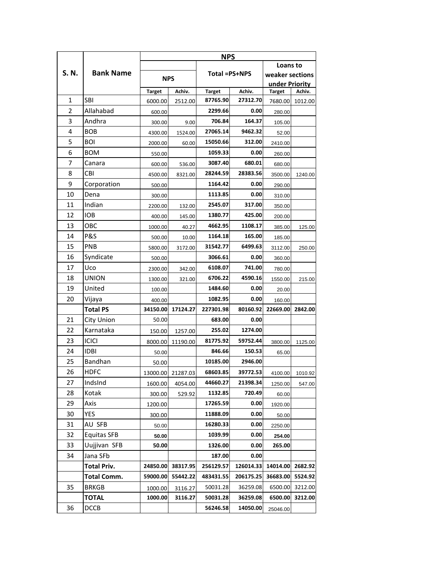|              |                    | <b>NPS</b>    |                   |               |                    |                                   |         |  |
|--------------|--------------------|---------------|-------------------|---------------|--------------------|-----------------------------------|---------|--|
| S.N.         | <b>Bank Name</b>   |               |                   |               |                    | Loans to                          |         |  |
|              |                    | <b>NPS</b>    |                   | Total =PS+NPS |                    | weaker sections<br>under Priority |         |  |
|              |                    |               |                   |               |                    |                                   |         |  |
| $\mathbf{1}$ | <b>SBI</b>         | <b>Target</b> | Achiv.            | <b>Target</b> | Achiv.<br>27312.70 | <b>Target</b>                     | Achiv.  |  |
| 2            |                    | 6000.00       | 2512.00           | 87765.90      |                    | 7680.00                           | 1012.00 |  |
|              | Allahabad          | 600.00        |                   | 2299.66       | 0.00               | 280.00                            |         |  |
| 3            | Andhra             | 300.00        | 9.00              | 706.84        | 164.37             | 105.00                            |         |  |
| 4            | <b>BOB</b>         | 4300.00       | 1524.00           | 27065.14      | 9462.32            | 52.00                             |         |  |
| 5            | <b>BOI</b>         | 2000.00       | 60.00             | 15050.66      | 312.00             | 2410.00                           |         |  |
| 6            | <b>BOM</b>         | 550.00        |                   | 1059.33       | 0.00               | 260.00                            |         |  |
| 7            | Canara             | 600.00        | 536.00            | 3087.40       | 680.01             | 680.00                            |         |  |
| 8            | CBI                | 4500.00       | 8321.00           | 28244.59      | 28383.56           | 3500.00                           | 1240.00 |  |
| 9            | Corporation        | 500.00        |                   | 1164.42       | 0.00               | 290.00                            |         |  |
| 10           | Dena               | 300.00        |                   | 1113.85       | 0.00               | 310.00                            |         |  |
| 11           | Indian             | 2200.00       | 132.00            | 2545.07       | 317.00             | 350.00                            |         |  |
| 12           | <b>IOB</b>         | 400.00        | 145.00            | 1380.77       | 425.00             | 200.00                            |         |  |
| 13           | овс                | 1000.00       | 40.27             | 4662.95       | 1108.17            | 385.00                            | 125.00  |  |
| 14           | P&S                | 500.00        | 10.00             | 1164.18       | 165.00             | 185.00                            |         |  |
| 15           | PNB                | 5800.00       | 3172.00           | 31542.77      | 6499.63            | 3112.00                           | 250.00  |  |
| 16           | Syndicate          | 500.00        |                   | 3066.61       | 0.00               | 360.00                            |         |  |
| 17           | Uco                | 2300.00       | 342.00            | 6108.07       | 741.00             | 780.00                            |         |  |
| 18           | UNION              | 1300.00       | 321.00            | 6706.22       | 4590.16            | 1550.00                           | 215.00  |  |
| 19           | United             | 100.00        |                   | 1484.60       | 0.00               | 20.00                             |         |  |
| 20           | Vijaya             | 400.00        |                   | 1082.95       | 0.00               | 160.00                            |         |  |
|              | <b>Total PS</b>    | 34150.00      | 17124.27          | 227301.98     | 80160.92           | 22669.00                          | 2842.00 |  |
| 21           | City Union         | 50.00         |                   | 683.00        | 0.00               |                                   |         |  |
| 22           | Karnataka          | 150.00        | 1257.00           | 255.02        | 1274.00            |                                   |         |  |
| 23           | <b>ICICI</b>       | 8000.00       | 11190.00          | 81775.92      | 59752.44           | 3800.00                           | 1125.00 |  |
| 24           | <b>IDBI</b>        | 50.00         |                   | 846.66        | 150.53             | 65.00                             |         |  |
| 25           | Bandhan            | 50.00         |                   | 10185.00      | 2946.00            |                                   |         |  |
| 26           | <b>HDFC</b>        |               | 13000.00 21287.03 | 68603.85      | 39772.53           | 4100.00                           | 1010.92 |  |
| 27           | IndsInd            | 1600.00       | 4054.00           | 44660.27      | 21398.34           | 1250.00                           | 547.00  |  |
| 28           | Kotak              | 300.00        | 529.92            | 1132.85       | 720.49             | 60.00                             |         |  |
| 29           | Axis               | 1200.00       |                   | 17265.59      | 0.00               | 1920.00                           |         |  |
| 30           | YES                | 300.00        |                   | 11888.09      | 0.00               | 50.00                             |         |  |
| 31           | AU SFB             | 50.00         |                   | 16280.33      | 0.00               | 2250.00                           |         |  |
| 32           | <b>Equitas SFB</b> | 50.00         |                   | 1039.99       | 0.00               | 254.00                            |         |  |
| 33           | Uujjivan SFB       | 50.00         |                   | 1326.00       | 0.00               | 265.00                            |         |  |
| 34           | Jana SFb           |               |                   | 187.00        | 0.00               |                                   |         |  |
|              | <b>Total Priv.</b> | 24850.00      | 38317.95          | 256129.57     | 126014.33          | 14014.00                          | 2682.92 |  |
|              | <b>Total Comm.</b> | 59000.00      | 55442.22          | 483431.55     | 206175.25          | 36683.00                          | 5524.92 |  |
| 35           | <b>BRKGB</b>       | 1000.00       | 3116.27           | 50031.28      | 36259.08           | 6500.00                           | 3212.00 |  |
|              | <b>TOTAL</b>       | 1000.00       | 3116.27           | 50031.28      | 36259.08           | 6500.00                           | 3212.00 |  |
| 36           | <b>DCCB</b>        |               |                   | 56246.58      | 14050.00           | 25046.00                          |         |  |
|              |                    |               |                   |               |                    |                                   |         |  |